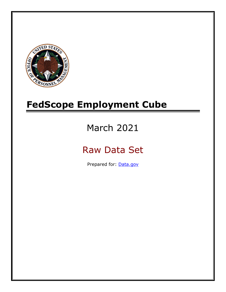

# **FedScope Employment Cube**

# March 2021

# Raw Data Set

Prepared for: [Data.gov](http://www.data.gov/)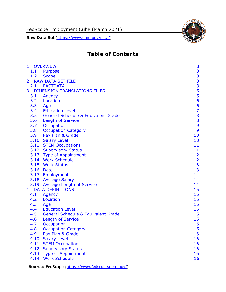FedScope Employment Cube (March 2021)

**Raw Data Set** [\(https://www.opm.gov/data/\)](https://www.opm.gov/data/)



# **Table of Contents**

| $\mathbf{1}$   | <b>OVERVIEW</b>                                | 3                                          |
|----------------|------------------------------------------------|--------------------------------------------|
| 1.1            | <b>Purpose</b>                                 |                                            |
| 1.2            | <b>Scope</b>                                   |                                            |
| $\overline{2}$ | <b>RAW DATA SET FILE</b>                       | $\begin{array}{c} 3 \\ 3 \\ 3 \end{array}$ |
|                | 2.1 FACTDATA                                   |                                            |
| 3              | <b>DIMENSION TRANSLATIONS FILES</b>            | $\frac{5}{5}$                              |
| 3.1            | <b>Agency</b>                                  |                                            |
| 3.2            | Location                                       | 6                                          |
| 3.3            | Age                                            | $\frac{6}{7}$                              |
| 3.4            | <b>Education Level</b>                         |                                            |
| 3.5            | <b>General Schedule &amp; Equivalent Grade</b> | 8                                          |
| 3.6            | <b>Length of Service</b>                       | 8                                          |
| 3.7            | Occupation                                     | 9                                          |
| 3.8            | <b>Occupation Category</b>                     | 9                                          |
| 3.9            | Pay Plan & Grade                               | 10                                         |
|                | 3.10 Salary Level                              | 10                                         |
|                | 3.11 STEM Occupations                          | 11                                         |
|                | 3.12 Supervisory Status                        | 11                                         |
|                | 3.13 Type of Appointment                       | 12                                         |
|                | 3.14 Work Schedule                             | 12                                         |
|                | 3.15 Work Status                               | 13                                         |
|                | 3.16 Date                                      | 13                                         |
|                | 3.17 Employment                                | 14                                         |
|                | 3.18 Average Salary                            | 14                                         |
|                | 3.19 Average Length of Service                 | 14                                         |
| 4 <sup>1</sup> | <b>DATA DEFINITIONS</b>                        | 15                                         |
| 4.1            | <b>Agency</b>                                  | 15                                         |
| 4.2            | Location                                       | 15                                         |
| 4.3            | Age                                            | 15                                         |
| 4.4            | <b>Education Level</b>                         | 15                                         |
| 4.5            | <b>General Schedule &amp; Equivalent Grade</b> | 15                                         |
| 4.6            | <b>Length of Service</b>                       | 15                                         |
| 4.7            | <b>Occupation</b>                              | 15                                         |
| 4.8            | <b>Occupation Category</b>                     | 15                                         |
| 4.9            | Pay Plan & Grade                               | 16                                         |
| 4.10           | <b>Salary Level</b>                            | 16                                         |
| 4.11           | <b>STEM Occupations</b>                        | 16                                         |
| 4.12           | <b>Supervisory Status</b>                      | 16                                         |
| 4.13           | <b>Type of Appointment</b>                     | 16                                         |
| 4.14           | <b>Work Schedule</b>                           | 16                                         |
|                |                                                |                                            |

**Source**: FedScope [\(https://www.fedscope.opm.gov/\)](https://www.fedscope.opm.gov/) 1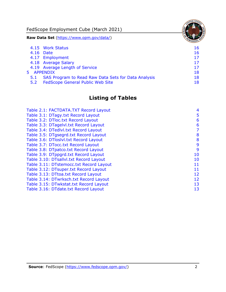FedScope Employment Cube (March 2021)

**Raw Data Set** [\(https://www.opm.gov/data/\)](https://www.opm.gov/data/)

|     | 4.15 Work Status                                    | 16 |
|-----|-----------------------------------------------------|----|
|     | 4.16 Date                                           | 16 |
|     | 4.17 Employment                                     | 17 |
|     | 4.18 Average Salary                                 | 17 |
|     | 4.19 Average Length of Service                      | 17 |
|     | 5 APPENDIX                                          | 18 |
| 5.1 | SAS Program to Read Raw Data Sets for Data Analysis | 18 |
| 5.2 | <b>FedScope General Public Web Site</b>             | 18 |

# **Listing of Tables**

| Table 2.1: FACTDATA.TXT Record Layout   | 4  |
|-----------------------------------------|----|
| Table 3.1: DTagy.txt Record Layout      | 5  |
| Table 3.2: DTloc.txt Record Layout      | 6  |
| Table 3.3: DTagelvl.txt Record Layout   | 6  |
| Table 3.4: DTedlvl.txt Record Layout    | 7  |
| Table 3.5: DTgsegrd.txt Record Layout   | 8  |
| Table 3.6: DTloslvl.txt Record Layout   | 8  |
| Table 3.7: DTocc.txt Record Layout      | 9  |
| Table 3.8: DTpatco.txt Record Layout    | 9  |
| Table 3.9: DTppgrd.txt Record Layout    | 10 |
| Table 3.10: DTsallvl.txt Record Layout  | 10 |
| Table 3.11: DTstemocc.txt Record Layout | 11 |
| Table 3.12: DTsuper.txt Record Layout   | 11 |
| Table 3.13: DTtoa.txt Record Layout     | 12 |
| Table 3.14: DTwrksch.txt Record Layout  | 12 |
| Table 3.15: DTwkstat.txt Record Layout  | 13 |
| Table 3.16: DTdate.txt Record Layout    | 13 |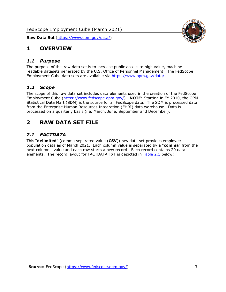

## <span id="page-3-0"></span>**1 OVERVIEW**

#### <span id="page-3-1"></span>*1.1 Purpose*

The purpose of this raw data set is to increase public access to high value, machine readable datasets generated by the U.S. Office of Personnel Management. The FedScope Employment Cube data sets are available via [https://www.opm.gov/data/.](https://www.opm.gov/data/)

#### <span id="page-3-2"></span>*1.2 Scope*

The scope of this raw data set includes data elements used in the creation of the FedScope Employment Cube [\(https://www.fedscope.opm.gov/\)](https://www.fedscope.opm.gov/). **NOTE**: Starting in FY 2010, the OPM Statistical Data Mart (SDM) is the source for all FedScope data. The SDM is processed data from the Enterprise Human Resources Integration (EHRI) data warehouse. Data is processed on a quarterly basis (i.e. March, June, September and December).

## <span id="page-3-3"></span>**2 RAW DATA SET FILE**

## <span id="page-3-4"></span>*2.1 FACTDATA*

This "**delimited**" (comma separated value (**CSV**)) raw data set provides employee population data as of March 2021. Each column value is separated by a "**comma**" from the next column's value and each row starts a new record. Each record contains 20 data elements. The record layout for FACTDATA.TXT is depicted in [Table 2.1](#page-4-0) below: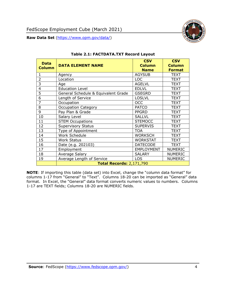

<span id="page-4-0"></span>

| <b>Data</b>    |                                     | <b>CSV</b>        | <b>CSV</b>     |
|----------------|-------------------------------------|-------------------|----------------|
| <b>Column</b>  | <b>DATA ELEMENT NAME</b>            | <b>Column</b>     | <b>Column</b>  |
|                |                                     | <b>Name</b>       | <b>Format</b>  |
| $\mathbf{1}$   | Agency                              | <b>AGYSUB</b>     | TEXT           |
| $\overline{2}$ | Location                            | <b>LOC</b>        | <b>TEXT</b>    |
| 3              | Age                                 | <b>AGELVL</b>     | <b>TEXT</b>    |
| 4              | <b>Education Level</b>              | <b>EDLVL</b>      | <b>TEXT</b>    |
| $\overline{5}$ | General Schedule & Equivalent Grade | <b>GSEGRD</b>     | TEXT           |
| 6              | Length of Service                   | <b>LOSLVL</b>     | <b>TEXT</b>    |
| 7              | Occupation                          | <b>OCC</b>        | <b>TEXT</b>    |
| 8              | <b>Occupation Category</b>          | <b>PATCO</b>      | <b>TEXT</b>    |
| 9              | Pay Plan & Grade                    | <b>PPGRD</b>      | <b>TEXT</b>    |
| 10             | Salary Level                        | <b>SALLVL</b>     | <b>TEXT</b>    |
| 11             | <b>STEM Occupations</b>             | <b>STEMOCC</b>    | <b>TEXT</b>    |
| 12             | <b>Supervisory Status</b>           | <b>SUPERVIS</b>   | <b>TEXT</b>    |
| 13             | Type of Appointment                 | <b>TOA</b>        | TEXT           |
| 14             | Work Schedule                       | <b>WORKSCH</b>    | <b>TEXT</b>    |
| 15             | <b>Work Status</b>                  | <b>WORKSTAT</b>   | <b>TEXT</b>    |
| 16             | Date (e.g. 202103)                  | <b>DATECODE</b>   | <b>TEXT</b>    |
| 17             | Employment                          | <b>EMPLOYMENT</b> | <b>NUMERIC</b> |
| 18             | Average Salary                      | <b>SALARY</b>     | <b>NUMERIC</b> |
| 19             | Average Length of Service           | <b>LOS</b>        | <b>NUMERIC</b> |
|                | <b>Total Records: 2,171,790</b>     |                   |                |

#### **Table 2.1: FACTDATA.TXT Record Layout**

**NOTE**: If importing this table (data set) into Excel, change the "column data format" for columns 1-17 from "General" to "Text". Columns 18-20 can be imported as "General" data format. In Excel, the "General" data format converts numeric values to numbers. Columns 1-17 are TEXT fields; Columns 18-20 are NUMERIC fields.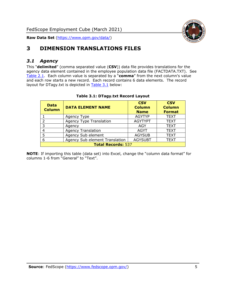

# <span id="page-5-0"></span>**3 DIMENSION TRANSLATIONS FILES**

## <span id="page-5-1"></span>*3.1 Agency*

This "**delimited**" (comma separated value (**CSV**)) data file provides translations for the agency data element contained in the employee population data file (FACTDATA.TXT). See [Table 2.1.](#page-4-0) Each column value is separated by a "**comma**" from the next column's value and each row starts a new record. Each record contains 6 data elements. The record layout for DTagy.txt is depicted in [Table 3.1](#page-5-2) below:

<span id="page-5-2"></span>

| <b>Data</b><br><b>Column</b> | <b>DATA ELEMENT NAME</b>       | <b>CSV</b><br><b>Column</b><br><b>Name</b> | <b>CSV</b><br><b>Column</b><br><b>Format</b> |  |
|------------------------------|--------------------------------|--------------------------------------------|----------------------------------------------|--|
|                              | Agency Type                    | <b>AGYTYP</b>                              | <b>TEXT</b>                                  |  |
|                              | <b>Agency Type Translation</b> | <b>AGYTYPT</b>                             | <b>TEXT</b>                                  |  |
| 3                            | Agency                         | AGY                                        | <b>TEXT</b>                                  |  |
|                              | <b>Agency Translation</b>      | <b>AGYT</b>                                | <b>TEXT</b>                                  |  |
| 5                            | Agency Sub element             | <b>AGYSUB</b>                              | <b>TEXT</b>                                  |  |
| 6                            | Agency Sub element Translation | <b>AGYSUBT</b>                             | <b>TEXT</b>                                  |  |
| <b>Total Records: 537</b>    |                                |                                            |                                              |  |

#### **Table 3.1: DTagy.txt Record Layout**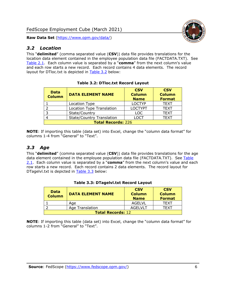<span id="page-6-0"></span>

This "**delimited**" (comma separated value (**CSV**)) data file provides translations for the location data element contained in the employee population data file (FACTDATA.TXT). See [Table 2.1.](#page-4-0) Each column value is separated by a "**comma**" from the next column's value and each row starts a new record. Each record contains 4 data elements. The record layout for DTloc.txt is depicted in [Table 3.2](#page-6-2) below:

<span id="page-6-2"></span>

| <b>Data</b><br><b>Column</b> | <b>DATA ELEMENT NAME</b>         | <b>CSV</b><br><b>Column</b><br><b>Name</b> | <b>CSV</b><br><b>Column</b><br><b>Format</b> |  |
|------------------------------|----------------------------------|--------------------------------------------|----------------------------------------------|--|
|                              | Location Type                    | <b>LOCTYP</b>                              | <b>TEXT</b>                                  |  |
|                              | <b>Location Type Translation</b> | <b>LOCTYPT</b>                             | <b>TEXT</b>                                  |  |
|                              | State/Country                    | <b>LOC</b>                                 | <b>TEXT</b>                                  |  |
|                              | <b>State/Country Translation</b> | LOCT                                       | <b>TEXT</b>                                  |  |
| <b>Total Records: 226</b>    |                                  |                                            |                                              |  |

**Table 3.2: DTloc.txt Record Layout**

**NOTE**: If importing this table (data set) into Excel, change the "column data format" for columns 1-4 from "General" to "Text".

## <span id="page-6-1"></span>*3.3 Age*

This "**delimited**" (comma separated value (**CSV**)) data file provides translations for the age data element contained in the employee population data file (FACTDATA.TXT). See Table [2.1.](#page-4-0) Each column value is separated by a "**comma**" from the next column's value and each row starts a new record. Each record contains 2 data elements. The record layout for DTagelvl.txt is depicted in [Table 3.3](#page-6-3) below:

<span id="page-6-3"></span>

| <b>Data</b><br><b>Column</b> | <b>DATA ELEMENT NAME</b> | <b>CSV</b><br><b>Column</b><br><b>Name</b> | <b>CSV</b><br><b>Column</b><br><b>Format</b> |
|------------------------------|--------------------------|--------------------------------------------|----------------------------------------------|
|                              | Age                      | AGELVL                                     | TFXT                                         |
|                              | Age Translation          | AGEL VLT                                   | TFXT                                         |
| <b>Total Records: 12</b>     |                          |                                            |                                              |

#### **Table 3.3: DTagelvl.txt Record Layout**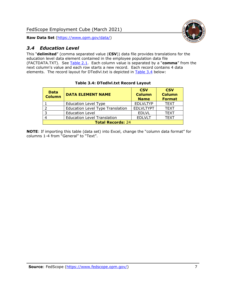

## <span id="page-7-0"></span>*3.4 Education Level*

This "**delimited**" (comma separated value (**CSV**)) data file provides translations for the education level data element contained in the employee population data file (FACTDATA.TXT). See [Table 2.1.](#page-4-0) Each column value is separated by a "**comma**" from the next column's value and each row starts a new record. Each record contains 4 data elements. The record layout for DTedlvl.txt is depicted in [Table 3.4](#page-7-1) below:

<span id="page-7-1"></span>

| <b>Data</b><br><b>Column</b> | <b>DATA ELEMENT NAME</b>                | <b>CSV</b><br><b>Column</b><br><b>Name</b> | <b>CSV</b><br><b>Column</b><br><b>Format</b> |  |
|------------------------------|-----------------------------------------|--------------------------------------------|----------------------------------------------|--|
|                              | <b>Education Level Type</b>             | <b>EDLVLTYP</b>                            | <b>TEXT</b>                                  |  |
|                              | <b>Education Level Type Translation</b> | <b>EDLVLTYPT</b>                           | <b>TEXT</b>                                  |  |
| $\mathbf{z}$                 | <b>Education Level</b>                  | <b>EDLVL</b>                               | <b>TEXT</b>                                  |  |
|                              | <b>Education Level Translation</b>      | <b>EDLVLT</b>                              | <b>TEXT</b>                                  |  |
| <b>Total Records: 24</b>     |                                         |                                            |                                              |  |

#### **Table 3.4: DTedlvl.txt Record Layout**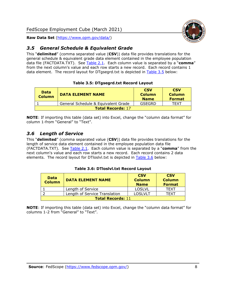## <span id="page-8-0"></span>*3.5 General Schedule & Equivalent Grade*

This "**delimited**" (comma separated value (**CSV**)) data file provides translations for the general schedule & equivalent grade data element contained in the employee population data file (FACTDATA.TXT). See [Table 2.1.](#page-4-0) Each column value is separated by a "**comma**" from the next column's value and each row starts a new record. Each record contains 1 data element. The record layout for DTgsegrd.txt is depicted in [Table 3.5](#page-8-2) below:

#### **Table 3.5: DTgsegrd.txt Record Layout**

<span id="page-8-2"></span>

| Data<br><b>Column</b>    | <b>DATA ELEMENT NAME</b>            | <b>CSV</b><br><b>Column</b><br><b>Name</b> | <b>CSV</b><br><b>Column</b><br><b>Format</b> |  |
|--------------------------|-------------------------------------|--------------------------------------------|----------------------------------------------|--|
|                          | General Schedule & Equivalent Grade | GSEGRD                                     | TEXT                                         |  |
| <b>Total Records: 17</b> |                                     |                                            |                                              |  |

**NOTE**: If importing this table (data set) into Excel, change the "column data format" for column 1-from "General" to "Text".

#### <span id="page-8-1"></span>*3.6 Length of Service*

This "**delimited**" (comma separated value (**CSV**)) data file provides translations for the length of service data element contained in the employee population data file (FACTDATA.TXT). See [Table 2.1.](#page-4-0) Each column value is separated by a "**comma**" from the next column's value and each row starts a new record. Each record contains 2 data elements. The record layout for DTloslvl.txt is depicted in [Table 3.6](#page-8-3) below:

#### **Table 3.6: DTloslvl.txt Record Layout**

<span id="page-8-3"></span>

| <b>Data</b><br><b>Column</b> | <b>DATA ELEMENT NAME</b>      | <b>CSV</b><br><b>Column</b><br><b>Name</b> | <b>CSV</b><br><b>Column</b><br><b>Format</b> |
|------------------------------|-------------------------------|--------------------------------------------|----------------------------------------------|
|                              | Length of Service             | <b>LOSLVL</b>                              | TFXT                                         |
|                              | Length of Service Translation | <b>LOSLVLT</b>                             | TFXT                                         |
| <b>Total Records: 11</b>     |                               |                                            |                                              |

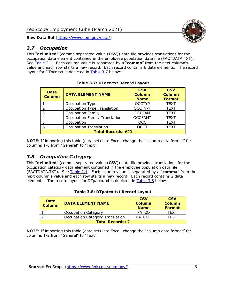## <span id="page-9-0"></span>*3.7 Occupation*

This "**delimited**" (comma separated value (**CSV**)) data file provides translations for the occupation data element contained in the employee population data file (FACTDATA.TXT). See [Table 2.1.](#page-4-0) Each column value is separated by a "**comma**" from the next column's value and each row starts a new record. Each record contains 6 data elements. The record layout for DTocc.txt is depicted in [Table 3.7](#page-9-2) below:

<span id="page-9-2"></span>

| <b>Data</b><br><b>Column</b> | <b>DATA ELEMENT NAME</b>             | <b>CSV</b><br><b>Column</b><br><b>Name</b> | <b>CSV</b><br><b>Column</b><br><b>Format</b> |  |  |
|------------------------------|--------------------------------------|--------------------------------------------|----------------------------------------------|--|--|
|                              | Occupation Type                      | <b>OCCTYP</b>                              | <b>TEXT</b>                                  |  |  |
| フ                            | Occupation Type Translation          | <b>OCCTYPT</b>                             | <b>TEXT</b>                                  |  |  |
| 3                            | <b>Occupation Family</b>             | <b>OCCFAM</b>                              | <b>TEXT</b>                                  |  |  |
| 4                            | <b>Occupation Family Translation</b> | <b>OCCFAMT</b>                             | <b>TEXT</b>                                  |  |  |
| 5                            | Occupation                           | <b>OCC</b>                                 | <b>TEXT</b>                                  |  |  |
| 6                            | <b>Occupation Translation</b>        | <b>OCCT</b>                                | <b>TEXT</b>                                  |  |  |
|                              | <b>Total Records: 670</b>            |                                            |                                              |  |  |

**Table 3.7: DTocc.txt Record Layout**

**NOTE**: If importing this table (data set) into Excel, change the "column data format" for columns 1-6 from "General" to "Text".

#### <span id="page-9-1"></span>*3.8 Occupation Category*

This "**delimited**" (comma separated value (**CSV**)) data file provides translations for the occupation category data element contained in the employee population data file (FACTDATA.TXT). See [Table 2.1.](#page-4-0) Each column value is separated by a "**comma**" from the next column's value and each row starts a new record. Each record contains 2 data elements. The record layout for DTpatco.txt is depicted in [Table 3.8](#page-9-3) below:

<span id="page-9-3"></span>

| <b>Data</b><br><b>Column</b> | <b>DATA ELEMENT NAME</b>               | <b>CSV</b><br><b>Column</b><br><b>Name</b> | <b>CSV</b><br><b>Column</b><br><b>Format</b> |  |
|------------------------------|----------------------------------------|--------------------------------------------|----------------------------------------------|--|
|                              | <b>Occupation Category</b>             | <b>PATCO</b>                               | <b>TEXT</b>                                  |  |
|                              | <b>Occupation Category Translation</b> | <b>PATCOT</b>                              | <b>TFXT</b>                                  |  |
| <b>Total Records: 7</b>      |                                        |                                            |                                              |  |

#### **Table 3.8: DTpatco.txt Record Layout**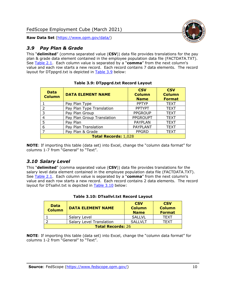

#### <span id="page-10-0"></span>*3.9 Pay Plan & Grade*

This "**delimited**" (comma separated value (**CSV**)) data file provides translations for the pay plan & grade data element contained in the employee population data file (FACTDATA.TXT). See [Table 2.1.](#page-4-0) Each column value is separated by a "**comma**" from the next column's value and each row starts a new record. Each record contains 7 data elements. The record layout for DTppgrd.txt is depicted in [Table 3.9](#page-10-2) below:

<span id="page-10-2"></span>

| <b>Data</b><br><b>Column</b> | <b>DATA ELEMENT NAME</b>   | <b>CSV</b><br><b>Column</b><br><b>Name</b> | <b>CSV</b><br><b>Column</b><br><b>Format</b> |
|------------------------------|----------------------------|--------------------------------------------|----------------------------------------------|
|                              | Pay Plan Type              | <b>PPTYP</b>                               | <b>TEXT</b>                                  |
| 2                            | Pay Plan Type Translation  | <b>PPTYPT</b>                              | <b>TEXT</b>                                  |
| 3                            | Pay Plan Group             | <b>PPGROUP</b>                             | <b>TEXT</b>                                  |
| 4                            | Pay Plan Group Translation | <b>PPGROUPT</b>                            | <b>TEXT</b>                                  |
| 5                            | Pay Plan                   | <b>PAYPLAN</b>                             | <b>TEXT</b>                                  |
| 6                            | Pay Plan Translation       | <b>PAYPLANT</b>                            | <b>TEXT</b>                                  |
| $\overline{ }$               | Pay Plan & Grade           | <b>PPGRD</b>                               | <b>TEXT</b>                                  |
| <b>Total Records: 1,028</b>  |                            |                                            |                                              |

#### **Table 3.9: DTppgrd.txt Record Layout**

**NOTE**: If importing this table (data set) into Excel, change the "column data format" for columns 1-7 from "General" to "Text".

#### <span id="page-10-1"></span>*3.10 Salary Level*

This "**delimited**" (comma separated value (**CSV**)) data file provides translations for the salary level data element contained in the employee population data file (FACTDATA.TXT). See [Table 2.1.](#page-4-0) Each column value is separated by a "**comma**" from the next column's value and each row starts a new record. Each record contains 2 data elements. The record layout for DTsallvl.txt is depicted in [Table 3.10](#page-10-3) below:

<span id="page-10-3"></span>

| <b>Data</b><br><b>Column</b> | <b>DATA ELEMENT NAME</b>        | <b>CSV</b><br><b>Column</b><br><b>Name</b> | <b>CSV</b><br><b>Column</b><br><b>Format</b> |
|------------------------------|---------------------------------|--------------------------------------------|----------------------------------------------|
|                              | Salary Level                    | <b>SALLVL</b>                              | <b>TFXT</b>                                  |
|                              | <b>Salary Level Translation</b> | SALLVLT                                    | TFXT                                         |
| <b>Total Records: 26</b>     |                                 |                                            |                                              |

#### **Table 3.10: DTsallvl.txt Record Layout**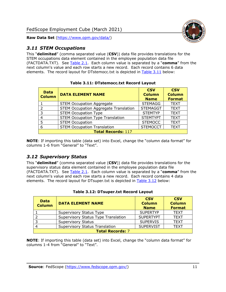

#### <span id="page-11-0"></span>*3.11 STEM Occupations*

This "**delimited**" (comma separated value (**CSV**)) data file provides translations for the STEM occupations data element contained in the employee population data file (FACTDATA.TXT). See [Table 2.1.](#page-4-0) Each column value is separated by a "**comma**" from the next column's value and each row starts a new record. Each record contains 6 data elements. The record layout for DTstemocc.txt is depicted in [Table 3.11](#page-11-2) below:

<span id="page-11-2"></span>

| <b>Data</b><br><b>Column</b> | <b>DATA ELEMENT NAME</b>                     | <b>CSV</b><br><b>Column</b><br><b>Name</b> | <b>CSV</b><br><b>Column</b><br><b>Format</b> |
|------------------------------|----------------------------------------------|--------------------------------------------|----------------------------------------------|
|                              | <b>STEM Occupation Aggregate</b>             | <b>STEMAGG</b>                             | <b>TEXT</b>                                  |
| $\mathcal{D}$                | <b>STEM Occupation Aggregate Translation</b> | <b>STEMAGGT</b>                            | <b>TEXT</b>                                  |
| 3                            | <b>STEM Occupation Type</b>                  | <b>STEMTYP</b>                             | <b>TEXT</b>                                  |
| 4                            | <b>STEM Occupation Type Translation</b>      | <b>STEMTYPT</b>                            | <b>TEXT</b>                                  |
| 5                            | <b>STEM Occupation</b>                       | <b>STEMOCC</b>                             | <b>TEXT</b>                                  |
| 6                            | <b>STEM Occupation Translation</b>           | <b>STEMOCCT</b>                            | <b>TEXT</b>                                  |
| <b>Total Records: 117</b>    |                                              |                                            |                                              |

**Table 3.11: DTstemocc.txt Record Layout**

**NOTE**: If importing this table (data set) into Excel, change the "column data format" for columns 1-6 from "General" to "Text".

#### <span id="page-11-1"></span>*3.12 Supervisory Status*

This "**delimited**" (comma separated value (**CSV**)) data file provides translations for the supervisory status data element contained in the employee population data file (FACTDATA.TXT). See [Table 2.1.](#page-4-0) Each column value is separated by a "**comma**" from the next column's value and each row starts a new record. Each record contains 4 data elements. The record layout for DTsuper.txt is depicted in [Table 3.12](#page-11-3) below:

<span id="page-11-3"></span>

| <b>Data</b><br><b>Column</b> | <b>DATA ELEMENT NAME</b>              | <b>CSV</b><br><b>Column</b><br><b>Name</b> | <b>CSV</b><br><b>Column</b><br><b>Format</b> |
|------------------------------|---------------------------------------|--------------------------------------------|----------------------------------------------|
|                              | Supervisory Status Type               | <b>SUPERTYP</b>                            | <b>TEXT</b>                                  |
|                              | Supervisory Status Type Translation   | <b>SUPERTYPT</b>                           | <b>TEXT</b>                                  |
|                              | <b>Supervisory Status</b>             | <b>SUPERVIS</b>                            | <b>TEXT</b>                                  |
|                              | <b>Supervisory Status Translation</b> | <b>SUPERVIST</b>                           | <b>TEXT</b>                                  |
| <b>Total Records: 7</b>      |                                       |                                            |                                              |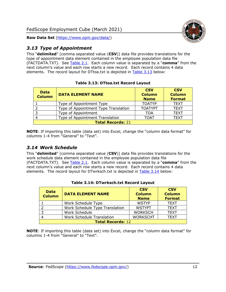

## <span id="page-12-0"></span>*3.13 Type of Appointment*

This "**delimited**" (comma separated value (**CSV**)) data file provides translations for the type of appointment data element contained in the employee population data file (FACTDATA.TXT). See [Table](#page-4-0) 2.1. Each column value is separated by a "**comma**" from the next column's value and each row starts a new record. Each record contains 4 data elements. The record layout for DTtoa.txt is depicted in [Table 3.13](#page-12-2) below:

<span id="page-12-2"></span>

| <b>Data</b><br><b>Column</b> | <b>DATA ELEMENT NAME</b>             | <b>CSV</b><br><b>Column</b><br><b>Name</b> | <b>CSV</b><br><b>Column</b><br><b>Format</b> |
|------------------------------|--------------------------------------|--------------------------------------------|----------------------------------------------|
|                              | Type of Appointment Type             | <b>TOATYP</b>                              | <b>TEXT</b>                                  |
|                              | Type of Appointment Type Translation | <b>TOATYPT</b>                             | <b>TEXT</b>                                  |
| ີ                            | Type of Appointment                  | TOA                                        | <b>TEXT</b>                                  |
|                              | Type of Appointment Translation      | TOAT                                       | <b>TEXT</b>                                  |
| <b>Total Records: 21</b>     |                                      |                                            |                                              |

#### **Table 3.13: DTtoa.txt Record Layout**

**NOTE**: If importing this table (data set) into Excel, change the "column data format" for columns 1-4 from "General" to "Text".

## <span id="page-12-1"></span>*3.14 Work Schedule*

This "**delimited**" (comma separated value (**CSV**)) data file provides translations for the work schedule data element contained in the employee population data file (FACTDATA.TXT). See [Table 2.1.](#page-4-0) Each column value is separated by a "**comma**" from the next column's value and each row starts a new record. Each record contains 4 data elements. The record layout for DTwrksch.txt is depicted in [Table 3.14](#page-12-3) below:

<span id="page-12-3"></span>

| <b>Data</b><br><b>Column</b> | <b>DATA ELEMENT NAME</b>         | <b>CSV</b><br><b>Column</b><br><b>Name</b> | <b>CSV</b><br><b>Column</b><br><b>Format</b> |
|------------------------------|----------------------------------|--------------------------------------------|----------------------------------------------|
|                              | Work Schedule Type               | <b>WSTYP</b>                               | <b>TEXT</b>                                  |
|                              | Work Schedule Type Translation   | <b>WSTYPT</b>                              | <b>TEXT</b>                                  |
| -3                           | Work Schedule                    | <b>WORKSCH</b>                             | <b>TEXT</b>                                  |
|                              | <b>Work Schedule Translation</b> | <b>WORKSCHT</b>                            | <b>TEXT</b>                                  |
| <b>Total Records: 12</b>     |                                  |                                            |                                              |

#### **Table 3.14: DTwrksch.txt Record Layout**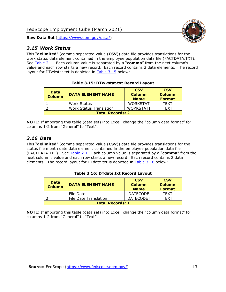<span id="page-13-0"></span>

This "**delimited**" (comma separated value (**CSV**)) data file provides translations for the work status data element contained in the employee population data file (FACTDATA.TXT). See [Table 2.1.](#page-4-0) Each column value is separated by a "**comma**" from the next column's value and each row starts a new record. Each record contains 2 data elements. The record layout for DTwkstat.txt is depicted in [Table 3.15](#page-13-2) below:

<span id="page-13-2"></span>

| <b>Data</b><br><b>Column</b> | <b>DATA ELEMENT NAME</b>       | <b>CSV</b><br><b>Column</b><br><b>Name</b> | <b>CSV</b><br><b>Column</b><br><b>Format</b> |
|------------------------------|--------------------------------|--------------------------------------------|----------------------------------------------|
|                              | <b>Work Status</b>             | <b>WORKSTAT</b>                            | <b>TFXT</b>                                  |
|                              | <b>Work Status Translation</b> | <b>WORKSTATT</b>                           | <b>TFXT</b>                                  |
| <b>Total Records: 2</b>      |                                |                                            |                                              |

**Table 3.15: DTwkstat.txt Record Layout**

**NOTE**: If importing this table (data set) into Excel, change the "column data format" for columns 1-2 from "General" to "Text".

#### <span id="page-13-1"></span>*3.16 Date*

This "**delimited**" (comma separated value (**CSV**)) data file provides translations for the status file month date data element contained in the employee population data file (FACTDATA.TXT). See [Table 2.1.](#page-4-0) Each column value is separated by a "**comma**" from the next column's value and each row starts a new record. Each record contains 2 data elements. The record layout for DTdate.txt is depicted in [Table 3.16](#page-13-3) below:

<span id="page-13-3"></span>

| <b>Data</b><br><b>Column</b> | <b>DATA ELEMENT NAME</b>     | <b>CSV</b><br><b>Column</b><br><b>Name</b> | <b>CSV</b><br><b>Column</b><br><b>Format</b> |
|------------------------------|------------------------------|--------------------------------------------|----------------------------------------------|
|                              | File Date                    | <b>DATECODE</b>                            | <b>TFXT</b>                                  |
|                              | <b>File Date Translation</b> | <b>DATECODET</b>                           | TFXT                                         |
| <b>Total Records: 1</b>      |                              |                                            |                                              |

**Table 3.16: DTdate.txt Record Layout**

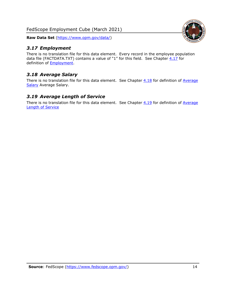FedScope Employment Cube (March 2021)

**Raw Data Set** [\(https://www.opm.gov/data/\)](https://www.opm.gov/data/)

#### <span id="page-14-0"></span>*3.17 Employment*

There is no translation file for this data element. Every record in the employee population data file (FACTDATA.TXT) contains a value of "1" for this field. See Chapter  $4.17$  for definition of [Employment.](#page-17-0)

## <span id="page-14-1"></span>*3.18 Average Salary*

There is no translation file for this data element. See Chapter  $4.18$  for definition of Average [Salary](#page-17-1) [Average Salary.](#page-17-1)

#### <span id="page-14-2"></span>*3.19 Average Length of Service*

There is no translation file for this data element. See Chapter  $4.19$  for definition of Average [Length of Service](#page-17-2)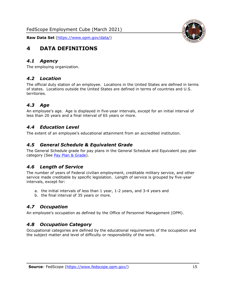

# <span id="page-15-0"></span>**4 DATA DEFINITIONS**

#### <span id="page-15-1"></span>*4.1 Agency*

<span id="page-15-2"></span>The employing organization.

#### *4.2 Location*

The official duty station of an employee. Locations in the United States are defined in terms of states. Locations outside the United States are defined in terms of countries and U.S. territories.

#### <span id="page-15-3"></span>*4.3 Age*

An employee's age. Age is displayed in five-year intervals, except for an initial interval of less than 20 years and a final interval of 65 years or more.

#### <span id="page-15-4"></span>*4.4 Education Level*

<span id="page-15-5"></span>The extent of an employee's educational attainment from an accredited institution.

#### *4.5 General Schedule & Equivalent Grade*

The General Schedule grade for pay plans in the General Schedule and Equivalent pay plan category (See [Pay Plan & Grade\)](#page-16-0).

#### <span id="page-15-6"></span>*4.6 Length of Service*

The number of years of Federal civilian employment, creditable military service, and other service made creditable by specific legislation. Length of service is grouped by five-year intervals, except for:

- a. the initial intervals of less than 1 year, 1-2 years, and 3-4 years and
- b. the final interval of 35 years or more.

#### <span id="page-15-7"></span>*4.7 Occupation*

<span id="page-15-8"></span>An employee's occupation as defined by the Office of Personnel Management (OPM).

#### *4.8 Occupation Category*

Occupational categories are defined by the educational requirements of the occupation and the subject matter and level of difficulty or responsibility of the work.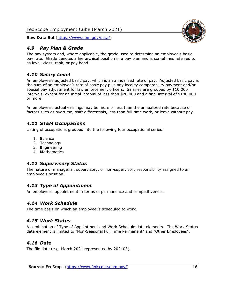

#### <span id="page-16-0"></span>*4.9 Pay Plan & Grade*

The pay system and, where applicable, the grade used to determine an employee's basic pay rate. Grade denotes a hierarchical position in a pay plan and is sometimes referred to as level, class, rank, or pay band.

## <span id="page-16-1"></span>*4.10 Salary Level*

An employee's adjusted basic pay, which is an annualized rate of pay. Adjusted basic pay is the sum of an employee's rate of basic pay plus any locality comparability payment and/or special pay adjustment for law enforcement officers. Salaries are grouped by \$10,000 intervals, except for an initial interval of less than \$20,000 and a final interval of \$180,000 or more.

An employee's actual earnings may be more or less than the annualized rate because of factors such as overtime, shift differentials, less than full time work, or leave without pay.

#### <span id="page-16-2"></span>*4.11 STEM Occupations*

Listing of occupations grouped into the following four occupational series:

- 1. **S**cience
- 2. **T**echnology
- 3. **E**ngineering
- 4. **M**athematics

#### <span id="page-16-3"></span>*4.12 Supervisory Status*

The nature of managerial, supervisory, or non-supervisory responsibility assigned to an employee's position.

#### <span id="page-16-4"></span>*4.13 Type of Appointment*

<span id="page-16-5"></span>An employee's appointment in terms of permanence and competitiveness.

#### *4.14 Work Schedule*

<span id="page-16-6"></span>The time basis on which an employee is scheduled to work.

#### *4.15 Work Status*

A combination of Type of Appointment and Work Schedule data elements. The Work Status data element is limited to "Non-Seasonal Full Time Permanent" and "Other Employees".

#### <span id="page-16-7"></span>*4.16 Date*

<span id="page-16-8"></span>The file date (e.g. March 2021 represented by 202103).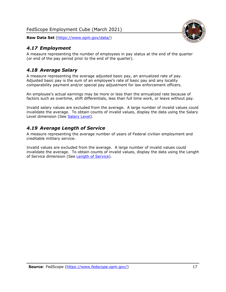<span id="page-17-0"></span>

A measure representing the number of employees in pay status at the end of the quarter (or end of the pay period prior to the end of the quarter).

## <span id="page-17-1"></span>*4.18 Average Salary*

A measure representing the average adjusted basic pay, an annualized rate of pay. Adjusted basic pay is the sum of an employee's rate of basic pay and any locality comparability payment and/or special pay adjustment for law enforcement officers.

An employee's actual earnings may be more or less than the annualized rate because of factors such as overtime, shift differentials, less than full time work, or leave without pay.

Invalid salary values are excluded from the average. A large number of invalid values could invalidate the average. To obtain counts of invalid values, display the data using the Salary Level dimension (See [Salary Level\)](#page-16-1).

#### <span id="page-17-2"></span>*4.19 Average Length of Service*

A measure representing the average number of years of Federal civilian employment and creditable military service.

Invalid values are excluded from the average. A large number of invalid values could invalidate the average. To obtain counts of invalid values, display the data using the Length of Service dimension (See [Length of Service\)](#page-15-6).